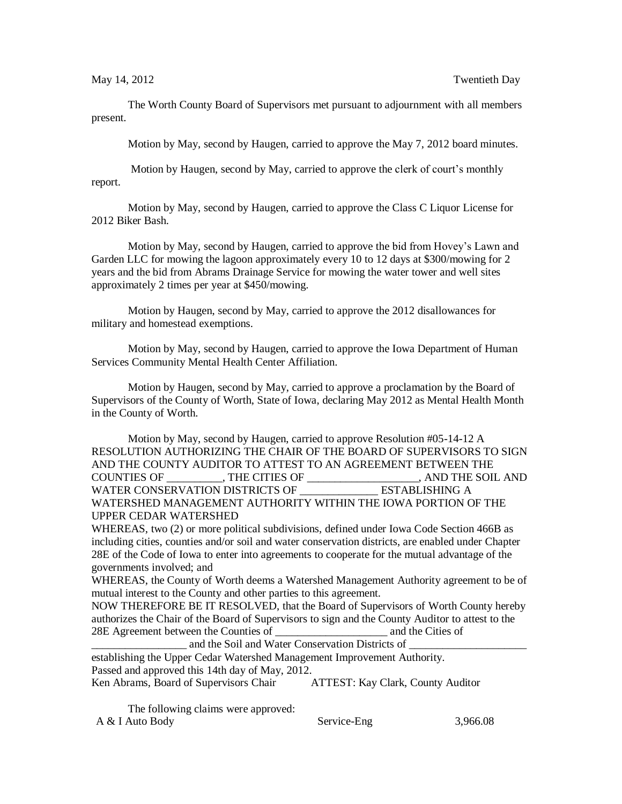The Worth County Board of Supervisors met pursuant to adjournment with all members present.

Motion by May, second by Haugen, carried to approve the May 7, 2012 board minutes.

Motion by Haugen, second by May, carried to approve the clerk of court's monthly report.

Motion by May, second by Haugen, carried to approve the Class C Liquor License for 2012 Biker Bash.

Motion by May, second by Haugen, carried to approve the bid from Hovey's Lawn and Garden LLC for mowing the lagoon approximately every 10 to 12 days at \$300/mowing for 2 years and the bid from Abrams Drainage Service for mowing the water tower and well sites approximately 2 times per year at \$450/mowing.

Motion by Haugen, second by May, carried to approve the 2012 disallowances for military and homestead exemptions.

Motion by May, second by Haugen, carried to approve the Iowa Department of Human Services Community Mental Health Center Affiliation.

Motion by Haugen, second by May, carried to approve a proclamation by the Board of Supervisors of the County of Worth, State of Iowa, declaring May 2012 as Mental Health Month in the County of Worth.

Motion by May, second by Haugen, carried to approve Resolution #05-14-12 A RESOLUTION AUTHORIZING THE CHAIR OF THE BOARD OF SUPERVISORS TO SIGN AND THE COUNTY AUDITOR TO ATTEST TO AN AGREEMENT BETWEEN THE COUNTIES OF \_\_\_\_\_\_\_\_\_\_, THE CITIES OF \_\_\_\_\_\_\_\_\_\_\_\_\_\_\_\_\_\_\_\_, AND THE SOIL AND WATER CONSERVATION DISTRICTS OF THE ESTABLISHING A WATERSHED MANAGEMENT AUTHORITY WITHIN THE IOWA PORTION OF THE UPPER CEDAR WATERSHED

WHEREAS, two (2) or more political subdivisions, defined under Iowa Code Section 466B as including cities, counties and/or soil and water conservation districts, are enabled under Chapter 28E of the Code of Iowa to enter into agreements to cooperate for the mutual advantage of the governments involved; and

WHEREAS, the County of Worth deems a Watershed Management Authority agreement to be of mutual interest to the County and other parties to this agreement.

NOW THEREFORE BE IT RESOLVED, that the Board of Supervisors of Worth County hereby authorizes the Chair of the Board of Supervisors to sign and the County Auditor to attest to the 28E Agreement between the Counties of \_\_\_\_\_\_\_\_\_\_\_\_\_\_\_\_\_\_\_\_ and the Cities of

and the Soil and Water Conservation Districts of establishing the Upper Cedar Watershed Management Improvement Authority.

Passed and approved this 14th day of May, 2012.

Ken Abrams, Board of Supervisors Chair ATTEST: Kay Clark, County Auditor

The following claims were approved: A & I Auto Body Service-Eng 3,966.08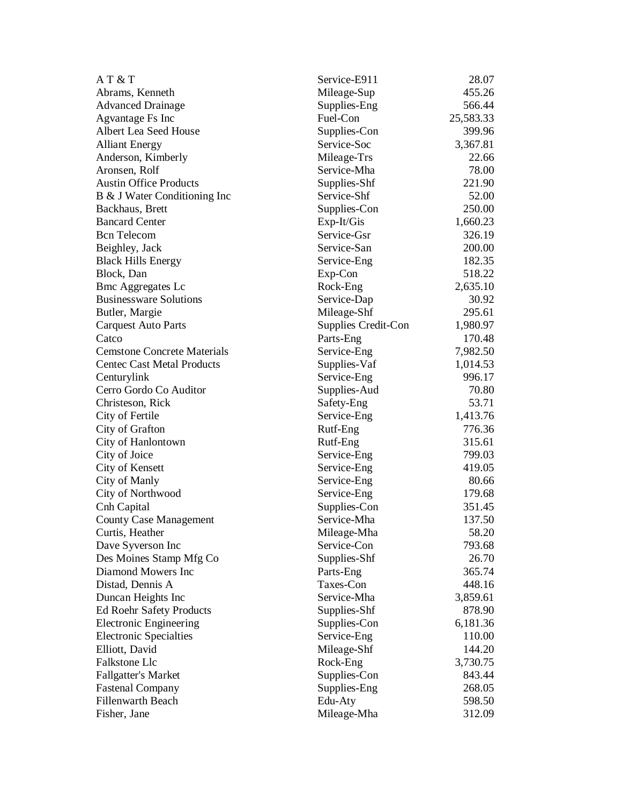| AT & T                             | Service-E911        | 28.07     |
|------------------------------------|---------------------|-----------|
| Abrams, Kenneth                    | Mileage-Sup         | 455.26    |
| <b>Advanced Drainage</b>           | Supplies-Eng        | 566.44    |
| Agvantage Fs Inc                   | Fuel-Con            | 25,583.33 |
| Albert Lea Seed House              | Supplies-Con        | 399.96    |
| <b>Alliant Energy</b>              | Service-Soc         | 3,367.81  |
| Anderson, Kimberly                 | Mileage-Trs         | 22.66     |
| Aronsen, Rolf                      | Service-Mha         | 78.00     |
| <b>Austin Office Products</b>      | Supplies-Shf        | 221.90    |
| B & J Water Conditioning Inc       | Service-Shf         | 52.00     |
| Backhaus, Brett                    | Supplies-Con        | 250.00    |
| <b>Bancard Center</b>              | Exp-It/Gis          | 1,660.23  |
| <b>Bcn</b> Telecom                 | Service-Gsr         | 326.19    |
| Beighley, Jack                     | Service-San         | 200.00    |
| <b>Black Hills Energy</b>          | Service-Eng         | 182.35    |
| Block, Dan                         | Exp-Con             | 518.22    |
| <b>Bmc Aggregates Lc</b>           | Rock-Eng            | 2,635.10  |
| <b>Businessware Solutions</b>      | Service-Dap         | 30.92     |
| Butler, Margie                     | Mileage-Shf         | 295.61    |
| <b>Carquest Auto Parts</b>         | Supplies Credit-Con | 1,980.97  |
| Catco                              | Parts-Eng           | 170.48    |
| <b>Cemstone Concrete Materials</b> | Service-Eng         | 7,982.50  |
| <b>Centec Cast Metal Products</b>  | Supplies-Vaf        | 1,014.53  |
| Centurylink                        | Service-Eng         | 996.17    |
| Cerro Gordo Co Auditor             | Supplies-Aud        | 70.80     |
| Christeson, Rick                   | Safety-Eng          | 53.71     |
| City of Fertile                    | Service-Eng         | 1,413.76  |
| City of Grafton                    | Rutf-Eng            | 776.36    |
| City of Hanlontown                 | Rutf-Eng            | 315.61    |
| City of Joice                      | Service-Eng         | 799.03    |
| City of Kensett                    | Service-Eng         | 419.05    |
| City of Manly                      | Service-Eng         | 80.66     |
| City of Northwood                  | Service-Eng         | 179.68    |
| Cnh Capital                        | Supplies-Con        | 351.45    |
| <b>County Case Management</b>      | Service-Mha         | 137.50    |
| Curtis, Heather                    | Mileage-Mha         | 58.20     |
| Dave Syverson Inc                  | Service-Con         | 793.68    |
| Des Moines Stamp Mfg Co            | Supplies-Shf        | 26.70     |
| Diamond Mowers Inc                 | Parts-Eng           | 365.74    |
| Distad, Dennis A                   | Taxes-Con           | 448.16    |
| Duncan Heights Inc                 | Service-Mha         | 3,859.61  |
| <b>Ed Roehr Safety Products</b>    | Supplies-Shf        | 878.90    |
| <b>Electronic Engineering</b>      | Supplies-Con        | 6,181.36  |
| <b>Electronic Specialties</b>      | Service-Eng         | 110.00    |
| Elliott, David                     | Mileage-Shf         | 144.20    |
| Falkstone Llc                      | Rock-Eng            | 3,730.75  |
| Fallgatter's Market                | Supplies-Con        | 843.44    |
| <b>Fastenal Company</b>            | Supplies-Eng        | 268.05    |
| <b>Fillenwarth Beach</b>           | Edu-Aty             | 598.50    |
| Fisher, Jane                       | Mileage-Mha         | 312.09    |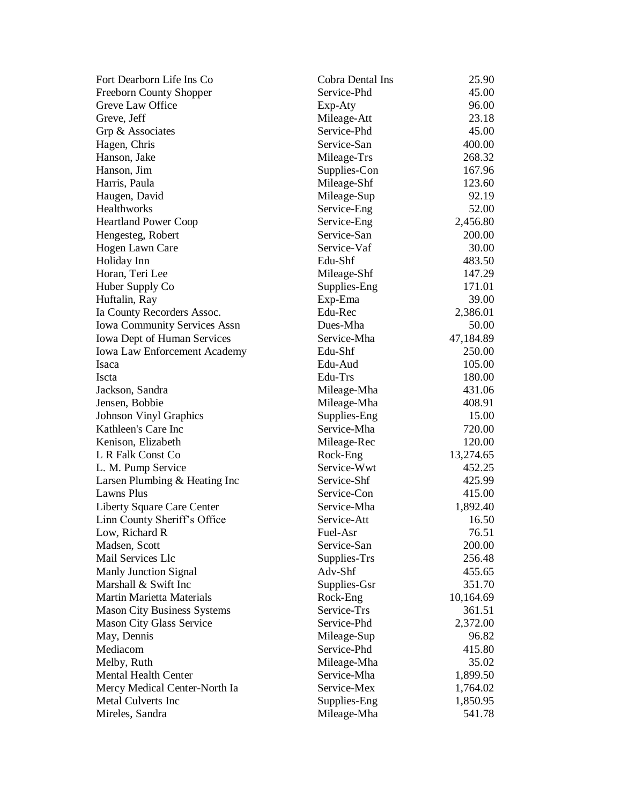| Fort Dearborn Life Ins Co           | Cobra Dental Ins | 25.90     |
|-------------------------------------|------------------|-----------|
| <b>Freeborn County Shopper</b>      | Service-Phd      | 45.00     |
| Greve Law Office                    | Exp-Aty          | 96.00     |
| Greve, Jeff                         | Mileage-Att      | 23.18     |
| Grp & Associates                    | Service-Phd      | 45.00     |
| Hagen, Chris                        | Service-San      | 400.00    |
| Hanson, Jake                        | Mileage-Trs      | 268.32    |
| Hanson, Jim                         | Supplies-Con     | 167.96    |
| Harris, Paula                       | Mileage-Shf      | 123.60    |
| Haugen, David                       | Mileage-Sup      | 92.19     |
| Healthworks                         | Service-Eng      | 52.00     |
| <b>Heartland Power Coop</b>         | Service-Eng      | 2,456.80  |
| Hengesteg, Robert                   | Service-San      | 200.00    |
| Hogen Lawn Care                     | Service-Vaf      | 30.00     |
| Holiday Inn                         | Edu-Shf          | 483.50    |
| Horan, Teri Lee                     | Mileage-Shf      | 147.29    |
| Huber Supply Co                     | Supplies-Eng     | 171.01    |
| Huftalin, Ray                       | Exp-Ema          | 39.00     |
| Ia County Recorders Assoc.          | Edu-Rec          | 2,386.01  |
| <b>Iowa Community Services Assn</b> | Dues-Mha         | 50.00     |
| Iowa Dept of Human Services         | Service-Mha      | 47,184.89 |
| <b>Iowa Law Enforcement Academy</b> | Edu-Shf          | 250.00    |
| Isaca                               | Edu-Aud          | 105.00    |
| Iscta                               | Edu-Trs          | 180.00    |
| Jackson, Sandra                     | Mileage-Mha      | 431.06    |
| Jensen, Bobbie                      | Mileage-Mha      | 408.91    |
| <b>Johnson Vinyl Graphics</b>       | Supplies-Eng     | 15.00     |
| Kathleen's Care Inc                 | Service-Mha      | 720.00    |
| Kenison, Elizabeth                  | Mileage-Rec      | 120.00    |
| L R Falk Const Co                   | Rock-Eng         | 13,274.65 |
| L. M. Pump Service                  | Service-Wwt      | 452.25    |
| Larsen Plumbing & Heating Inc       | Service-Shf      | 425.99    |
| Lawns Plus                          | Service-Con      | 415.00    |
| Liberty Square Care Center          | Service-Mha      | 1,892.40  |
| Linn County Sheriff's Office        | Service-Att      | 16.50     |
| Low, Richard R                      | Fuel-Asr         | 76.51     |
| Madsen, Scott                       | Service-San      | 200.00    |
| Mail Services Llc                   | Supplies-Trs     | 256.48    |
| <b>Manly Junction Signal</b>        | Adv-Shf          | 455.65    |
| Marshall & Swift Inc                | Supplies-Gsr     | 351.70    |
| <b>Martin Marietta Materials</b>    | Rock-Eng         | 10,164.69 |
| <b>Mason City Business Systems</b>  | Service-Trs      | 361.51    |
| Mason City Glass Service            | Service-Phd      | 2,372.00  |
| May, Dennis                         | Mileage-Sup      | 96.82     |
| Mediacom                            | Service-Phd      | 415.80    |
| Melby, Ruth                         | Mileage-Mha      | 35.02     |
| <b>Mental Health Center</b>         | Service-Mha      | 1,899.50  |
| Mercy Medical Center-North Ia       | Service-Mex      | 1,764.02  |
| <b>Metal Culverts Inc</b>           | Supplies-Eng     | 1,850.95  |
| Mireles, Sandra                     | Mileage-Mha      | 541.78    |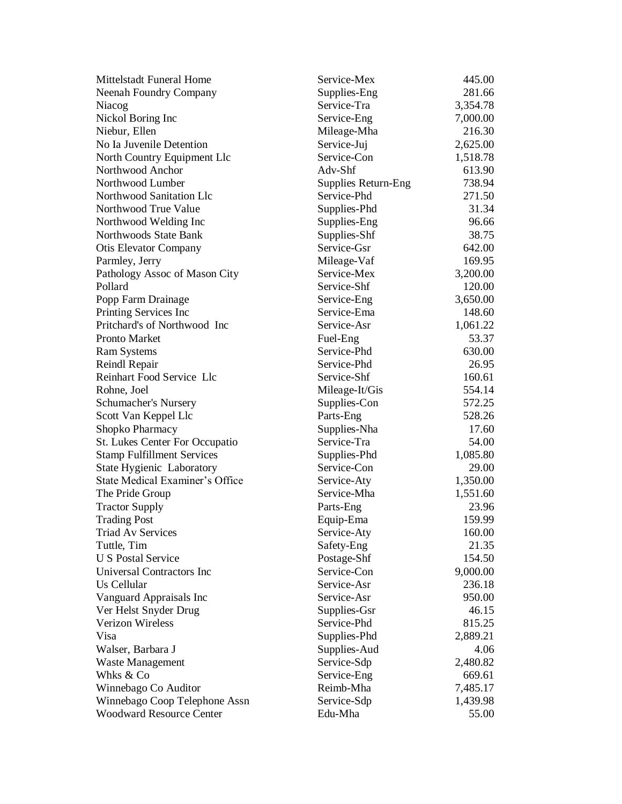| <b>Mittelstadt Funeral Home</b>   | Service-Mex                | 445.00   |
|-----------------------------------|----------------------------|----------|
| <b>Neenah Foundry Company</b>     | Supplies-Eng               | 281.66   |
| Niacog                            | Service-Tra                | 3,354.78 |
| Nickol Boring Inc                 | Service-Eng                | 7,000.00 |
| Niebur, Ellen                     | Mileage-Mha                | 216.30   |
| No Ia Juvenile Detention          | Service-Juj                | 2,625.00 |
| North Country Equipment Llc       | Service-Con                | 1,518.78 |
| Northwood Anchor                  | Adv-Shf                    | 613.90   |
| Northwood Lumber                  | <b>Supplies Return-Eng</b> | 738.94   |
| Northwood Sanitation Llc          | Service-Phd                | 271.50   |
| Northwood True Value              | Supplies-Phd               | 31.34    |
| Northwood Welding Inc             | Supplies-Eng               | 96.66    |
| Northwoods State Bank             | Supplies-Shf               | 38.75    |
| <b>Otis Elevator Company</b>      | Service-Gsr                | 642.00   |
| Parmley, Jerry                    | Mileage-Vaf                | 169.95   |
| Pathology Assoc of Mason City     | Service-Mex                | 3,200.00 |
| Pollard                           | Service-Shf                | 120.00   |
| Popp Farm Drainage                | Service-Eng                | 3,650.00 |
| Printing Services Inc             | Service-Ema                | 148.60   |
| Pritchard's of Northwood Inc      | Service-Asr                | 1,061.22 |
| Pronto Market                     | Fuel-Eng                   | 53.37    |
| <b>Ram Systems</b>                | Service-Phd                | 630.00   |
| Reindl Repair                     | Service-Phd                | 26.95    |
| Reinhart Food Service Llc         | Service-Shf                | 160.61   |
| Rohne, Joel                       | Mileage-It/Gis             | 554.14   |
| Schumacher's Nursery              | Supplies-Con               | 572.25   |
| Scott Van Keppel Llc              | Parts-Eng                  | 528.26   |
| Shopko Pharmacy                   | Supplies-Nha               | 17.60    |
| St. Lukes Center For Occupatio    | Service-Tra                | 54.00    |
| <b>Stamp Fulfillment Services</b> | Supplies-Phd               | 1,085.80 |
| <b>State Hygienic Laboratory</b>  | Service-Con                | 29.00    |
| State Medical Examiner's Office   | Service-Aty                | 1,350.00 |
| The Pride Group                   | Service-Mha                | 1,551.60 |
| <b>Tractor Supply</b>             | Parts-Eng                  | 23.96    |
| <b>Trading Post</b>               | Equip-Ema                  | 159.99   |
| <b>Triad Av Services</b>          | Service-Aty                | 160.00   |
| Tuttle, Tim                       | Safety-Eng                 | 21.35    |
| <b>U S Postal Service</b>         | Postage-Shf                | 154.50   |
| Universal Contractors Inc         | Service-Con                | 9,000.00 |
| Us Cellular                       | Service-Asr                | 236.18   |
| Vanguard Appraisals Inc           | Service-Asr                | 950.00   |
| Ver Helst Snyder Drug             | Supplies-Gsr               | 46.15    |
| <b>Verizon Wireless</b>           | Service-Phd                | 815.25   |
| Visa                              | Supplies-Phd               | 2,889.21 |
| Walser, Barbara J                 | Supplies-Aud               | 4.06     |
| Waste Management                  | Service-Sdp                | 2,480.82 |
| Whks & Co                         | Service-Eng                | 669.61   |
| Winnebago Co Auditor              | Reimb-Mha                  | 7,485.17 |
| Winnebago Coop Telephone Assn     | Service-Sdp                | 1,439.98 |
| <b>Woodward Resource Center</b>   | Edu-Mha                    | 55.00    |